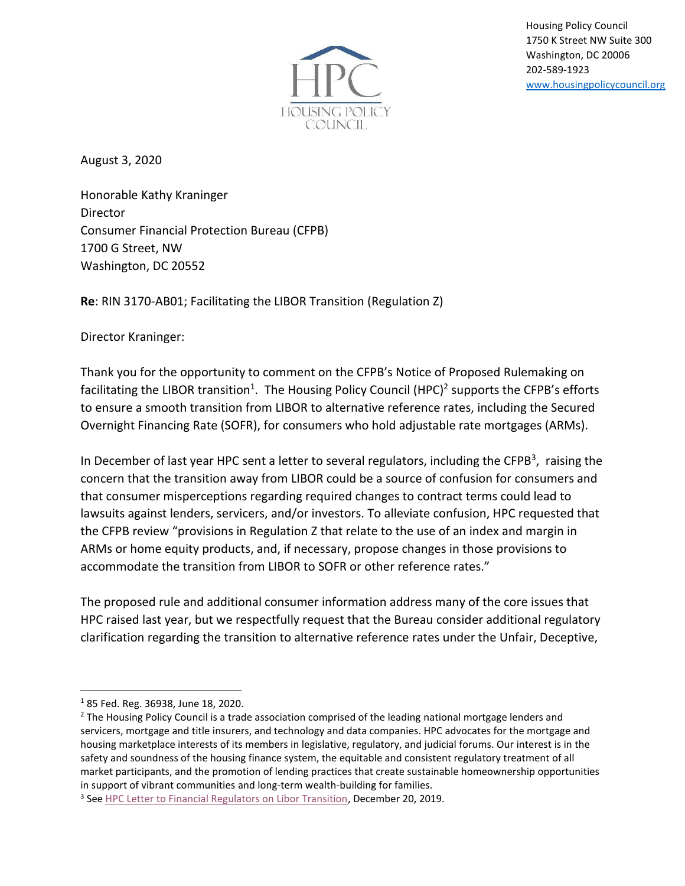

Housing Policy Council 1750 K Street NW Suite 300 Washington, DC 20006 202-589-1923 [www.housingpolicycouncil.org](http://www.housingpolicycouncil.org/)

August 3, 2020

Honorable Kathy Kraninger **Director** Consumer Financial Protection Bureau (CFPB) 1700 G Street, NW Washington, DC 20552

**Re**: RIN 3170-AB01; Facilitating the LIBOR Transition (Regulation Z)

Director Kraninger:

Thank you for the opportunity to comment on the CFPB's Notice of Proposed Rulemaking on facilitating the LIBOR transition<sup>1</sup>. The Housing Policy Council (HPC)<sup>2</sup> supports the CFPB's efforts to ensure a smooth transition from LIBOR to alternative reference rates, including the Secured Overnight Financing Rate (SOFR), for consumers who hold adjustable rate mortgages (ARMs).

In December of last year HPC sent a letter to several regulators, including the CFPB<sup>3</sup>, raising the concern that the transition away from LIBOR could be a source of confusion for consumers and that consumer misperceptions regarding required changes to contract terms could lead to lawsuits against lenders, servicers, and/or investors. To alleviate confusion, HPC requested that the CFPB review "provisions in Regulation Z that relate to the use of an index and margin in ARMs or home equity products, and, if necessary, propose changes in those provisions to accommodate the transition from LIBOR to SOFR or other reference rates."

The proposed rule and additional consumer information address many of the core issues that HPC raised last year, but we respectfully request that the Bureau consider additional regulatory clarification regarding the transition to alternative reference rates under the Unfair, Deceptive,

<sup>1</sup> 85 Fed. Reg. 36938, June 18, 2020.

 $<sup>2</sup>$  The Housing Policy Council is a trade association comprised of the leading national mortgage lenders and</sup> servicers, mortgage and title insurers, and technology and data companies. HPC advocates for the mortgage and housing marketplace interests of its members in legislative, regulatory, and judicial forums. Our interest is in the safety and soundness of the housing finance system, the equitable and consistent regulatory treatment of all market participants, and the promotion of lending practices that create sustainable homeownership opportunities in support of vibrant communities and long-term wealth-building for families.

<sup>&</sup>lt;sup>3</sup> See **HPC Letter to Financial Regulators on Libor Transition**, December 20, 2019.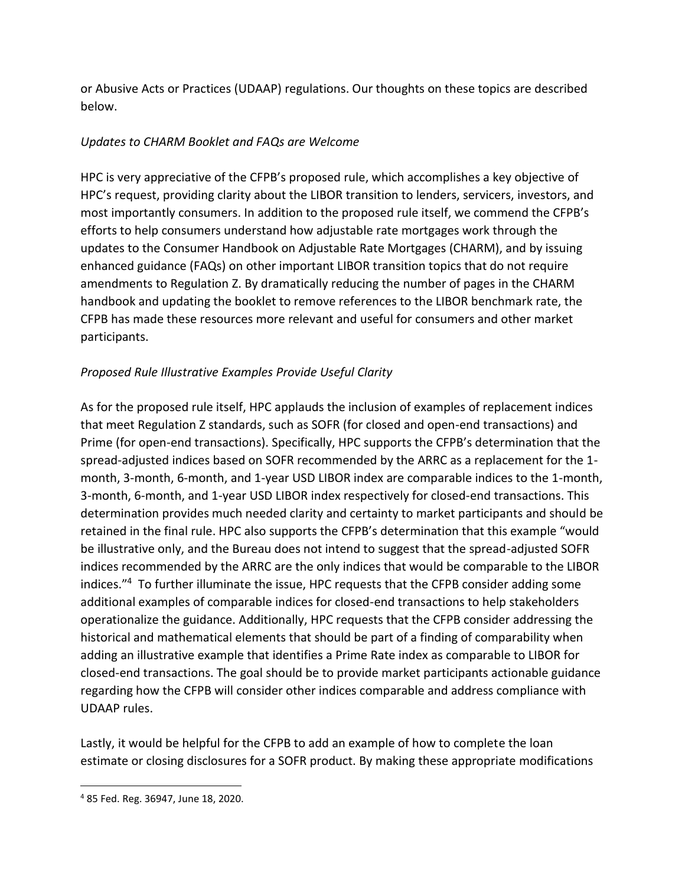or Abusive Acts or Practices (UDAAP) regulations. Our thoughts on these topics are described below.

## *Updates to CHARM Booklet and FAQs are Welcome*

HPC is very appreciative of the CFPB's proposed rule, which accomplishes a key objective of HPC's request, providing clarity about the LIBOR transition to lenders, servicers, investors, and most importantly consumers. In addition to the proposed rule itself, we commend the CFPB's efforts to help consumers understand how adjustable rate mortgages work through the updates to the Consumer Handbook on Adjustable Rate Mortgages (CHARM), and by issuing enhanced guidance (FAQs) on other important LIBOR transition topics that do not require amendments to Regulation Z. By dramatically reducing the number of pages in the CHARM handbook and updating the booklet to remove references to the LIBOR benchmark rate, the CFPB has made these resources more relevant and useful for consumers and other market participants.

## *Proposed Rule Illustrative Examples Provide Useful Clarity*

As for the proposed rule itself, HPC applauds the inclusion of examples of replacement indices that meet Regulation Z standards, such as SOFR (for closed and open-end transactions) and Prime (for open-end transactions). Specifically, HPC supports the CFPB's determination that the spread-adjusted indices based on SOFR recommended by the ARRC as a replacement for the 1 month, 3-month, 6-month, and 1-year USD LIBOR index are comparable indices to the 1-month, 3-month, 6-month, and 1-year USD LIBOR index respectively for closed-end transactions. This determination provides much needed clarity and certainty to market participants and should be retained in the final rule. HPC also supports the CFPB's determination that this example "would be illustrative only, and the Bureau does not intend to suggest that the spread-adjusted SOFR indices recommended by the ARRC are the only indices that would be comparable to the LIBOR indices."<sup>4</sup> To further illuminate the issue, HPC requests that the CFPB consider adding some additional examples of comparable indices for closed-end transactions to help stakeholders operationalize the guidance. Additionally, HPC requests that the CFPB consider addressing the historical and mathematical elements that should be part of a finding of comparability when adding an illustrative example that identifies a Prime Rate index as comparable to LIBOR for closed-end transactions. The goal should be to provide market participants actionable guidance regarding how the CFPB will consider other indices comparable and address compliance with UDAAP rules.

Lastly, it would be helpful for the CFPB to add an example of how to complete the loan estimate or closing disclosures for a SOFR product. By making these appropriate modifications

<sup>4</sup> 85 Fed. Reg. 36947, June 18, 2020.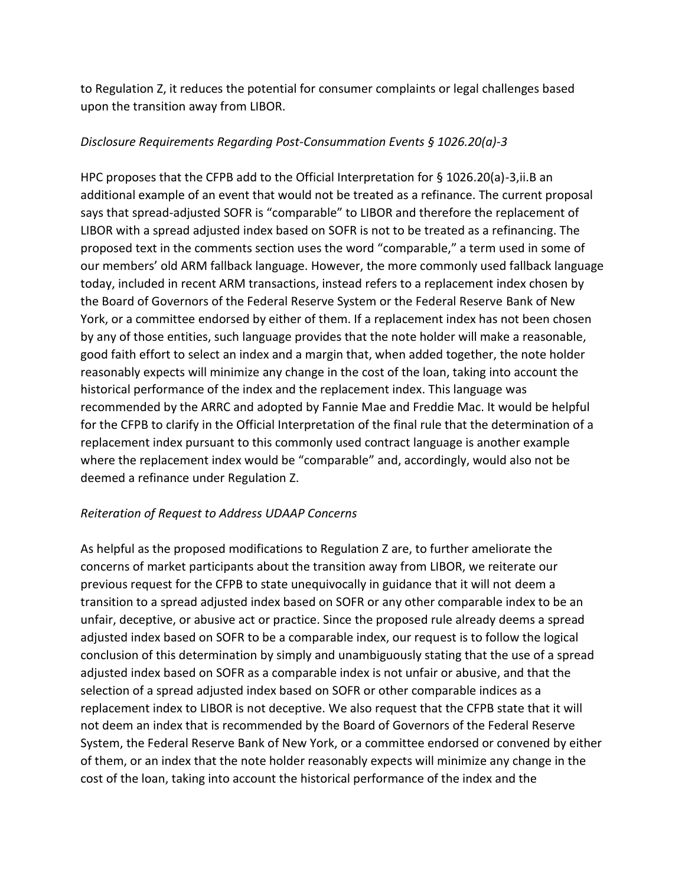to Regulation Z, it reduces the potential for consumer complaints or legal challenges based upon the transition away from LIBOR.

## *Disclosure Requirements Regarding Post-Consummation Events § 1026.20(a)-3*

HPC proposes that the CFPB add to the Official Interpretation for § 1026.20(a)-3,ii.B an additional example of an event that would not be treated as a refinance. The current proposal says that spread-adjusted SOFR is "comparable" to LIBOR and therefore the replacement of LIBOR with a spread adjusted index based on SOFR is not to be treated as a refinancing. The proposed text in the comments section uses the word "comparable," a term used in some of our members' old ARM fallback language. However, the more commonly used fallback language today, included in recent ARM transactions, instead refers to a replacement index chosen by the Board of Governors of the Federal Reserve System or the Federal Reserve Bank of New York, or a committee endorsed by either of them. If a replacement index has not been chosen by any of those entities, such language provides that the note holder will make a reasonable, good faith effort to select an index and a margin that, when added together, the note holder reasonably expects will minimize any change in the cost of the loan, taking into account the historical performance of the index and the replacement index. This language was recommended by the ARRC and adopted by Fannie Mae and Freddie Mac. It would be helpful for the CFPB to clarify in the Official Interpretation of the final rule that the determination of a replacement index pursuant to this commonly used contract language is another example where the replacement index would be "comparable" and, accordingly, would also not be deemed a refinance under Regulation Z.

## *Reiteration of Request to Address UDAAP Concerns*

As helpful as the proposed modifications to Regulation Z are, to further ameliorate the concerns of market participants about the transition away from LIBOR, we reiterate our previous request for the CFPB to state unequivocally in guidance that it will not deem a transition to a spread adjusted index based on SOFR or any other comparable index to be an unfair, deceptive, or abusive act or practice. Since the proposed rule already deems a spread adjusted index based on SOFR to be a comparable index, our request is to follow the logical conclusion of this determination by simply and unambiguously stating that the use of a spread adjusted index based on SOFR as a comparable index is not unfair or abusive, and that the selection of a spread adjusted index based on SOFR or other comparable indices as a replacement index to LIBOR is not deceptive. We also request that the CFPB state that it will not deem an index that is recommended by the Board of Governors of the Federal Reserve System, the Federal Reserve Bank of New York, or a committee endorsed or convened by either of them, or an index that the note holder reasonably expects will minimize any change in the cost of the loan, taking into account the historical performance of the index and the